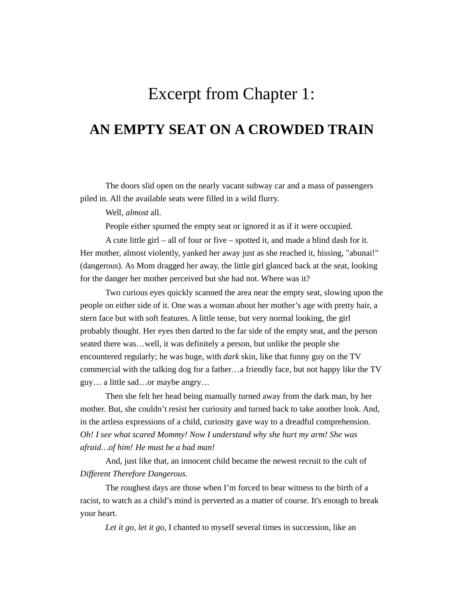## Excerpt from Chapter 1:

## **AN EMPTY SEAT ON A CROWDED TRAIN**

The doors slid open on the nearly vacant subway car and a mass of passengers piled in. All the available seats were filled in a wild flurry.

Well, *almost* all.

People either spurned the empty seat or ignored it as if it were occupied.

A cute little girl – all of four or five – spotted it, and made a blind dash for it. Her mother, almost violently, yanked her away just as she reached it, hissing, "abunai!" (dangerous). As Mom dragged her away, the little girl glanced back at the seat, looking for the danger her mother perceived but she had not. Where was it?

Two curious eyes quickly scanned the area near the empty seat, slowing upon the people on either side of it. One was a woman about her mother's age with pretty hair, a stern face but with soft features. A little tense, but very normal looking, the girl probably thought. Her eyes then darted to the far side of the empty seat, and the person seated there was…well, it was definitely a person, but unlike the people she encountered regularly; he was huge, with *dark* skin, like that funny guy on the TV commercial with the talking dog for a father…a friendly face, but not happy like the TV guy… a little sad…or maybe angry…

Then she felt her head being manually turned away from the dark man, by her mother. But, she couldn't resist her curiosity and turned back to take another look. And, in the artless expressions of a child, curiosity gave way to a dreadful comprehension. *Oh! I see what scared Mommy! Now I understand why she hurt my arm! She was afraid…of him! He must be a bad man!*

And, just like that, an innocent child became the newest recruit to the cult of *Different Therefore Dangerous.*

The roughest days are those when I'm forced to bear witness to the birth of a racist, to watch as a child's mind is perverted as a matter of course. It's enough to break your heart.

*Let it go, let it go*, I chanted to myself several times in succession, like an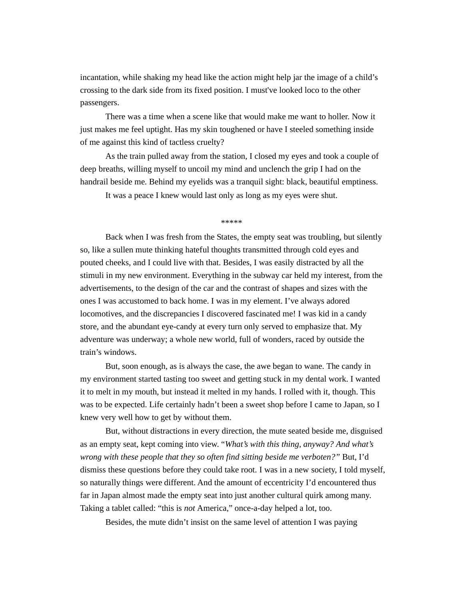incantation, while shaking my head like the action might help jar the image of a child's crossing to the dark side from its fixed position. I must've looked loco to the other passengers.

There was a time when a scene like that would make me want to holler. Now it just makes me feel uptight. Has my skin toughened or have I steeled something inside of me against this kind of tactless cruelty?

As the train pulled away from the station, I closed my eyes and took a couple of deep breaths, willing myself to uncoil my mind and unclench the grip I had on the handrail beside me. Behind my eyelids was a tranquil sight: black, beautiful emptiness.

It was a peace I knew would last only as long as my eyes were shut.

\*\*\*\*\*

Back when I was fresh from the States, the empty seat was troubling, but silently so, like a sullen mute thinking hateful thoughts transmitted through cold eyes and pouted cheeks, and I could live with that. Besides, I was easily distracted by all the stimuli in my new environment. Everything in the subway car held my interest, from the advertisements, to the design of the car and the contrast of shapes and sizes with the ones I was accustomed to back home. I was in my element. I've always adored locomotives, and the discrepancies I discovered fascinated me! I was kid in a candy store, and the abundant eye-candy at every turn only served to emphasize that. My adventure was underway; a whole new world, full of wonders, raced by outside the train's windows.

But, soon enough, as is always the case, the awe began to wane. The candy in my environment started tasting too sweet and getting stuck in my dental work. I wanted it to melt in my mouth, but instead it melted in my hands. I rolled with it, though. This was to be expected. Life certainly hadn't been a sweet shop before I came to Japan, so I knew very well how to get by without them.

But, without distractions in every direction, the mute seated beside me, disguised as an empty seat, kept coming into view. "*What's with this thing, anyway? And what's wrong with these people that they so often find sitting beside me verboten?"* But, I'd dismiss these questions before they could take root. I was in a new society, I told myself, so naturally things were different. And the amount of eccentricity I'd encountered thus far in Japan almost made the empty seat into just another cultural quirk among many. Taking a tablet called: "this is *not* America," once-a-day helped a lot, too.

Besides, the mute didn't insist on the same level of attention I was paying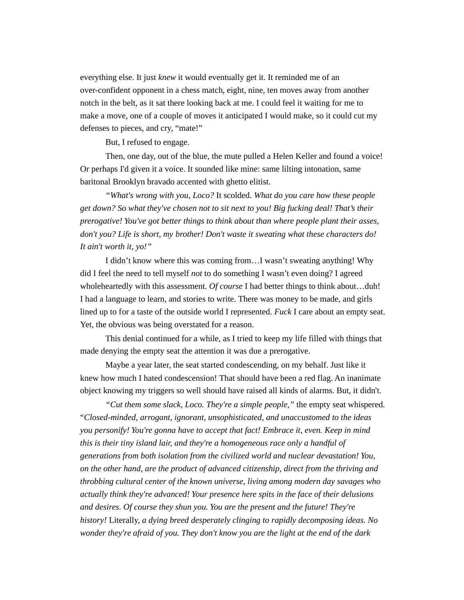everything else. It just *knew* it would eventually get it. It reminded me of an over-confident opponent in a chess match, eight, nine, ten moves away from another notch in the belt, as it sat there looking back at me. I could feel it waiting for me to make a move, one of a couple of moves it anticipated I would make, so it could cut my defenses to pieces, and cry, "mate!"

But, I refused to engage.

Then, one day, out of the blue, the mute pulled a Helen Keller and found a voice! Or perhaps I'd given it a voice. It sounded like mine: same lilting intonation, same baritonal Brooklyn bravado accented with ghetto elitist.

*"What's wrong with you, Loco?* It scolded. *What do you care how these people get down? So what they've chosen not to sit next to you! Big fucking deal! That's their prerogative! You've got better things to think about than where people plant their asses, don't you? Life is short, my brother! Don't waste it sweating what these characters do! It ain't worth it, yo!"* 

I didn't know where this was coming from…I wasn't sweating anything! Why did I feel the need to tell myself *not* to do something I wasn't even doing? I agreed wholeheartedly with this assessment. *Of course* I had better things to think about...duh! I had a language to learn, and stories to write. There was money to be made, and girls lined up to for a taste of the outside world I represented. *Fuck* I care about an empty seat. Yet, the obvious was being overstated for a reason.

This denial continued for a while, as I tried to keep my life filled with things that made denying the empty seat the attention it was due a prerogative.

Maybe a year later, the seat started condescending, on my behalf. Just like it knew how much I hated condescension! That should have been a red flag. An inanimate object knowing my triggers so well should have raised all kinds of alarms. But, it didn't.

*"Cut them some slack, Loco. They're a simple people,"* the empty seat whispered. "*Closed-minded, arrogant, ignorant, unsophisticated, and unaccustomed to the ideas you personify! You're gonna have to accept that fact! Embrace it, even. Keep in mind this is their tiny island lair, and they're a homogeneous race only a handful of generations from both isolation from the civilized world and nuclear devastation! You, on the other hand, are the product of advanced citizenship, direct from the thriving and throbbing cultural center of the known universe, living among modern day savages who actually think they're advanced! Your presence here spits in the face of their delusions and desires. Of course they shun you. You are the present and the future! They're history!* Literally, *a dying breed desperately clinging to rapidly decomposing ideas. No wonder they're afraid of you. They don't know you are the light at the end of the dark*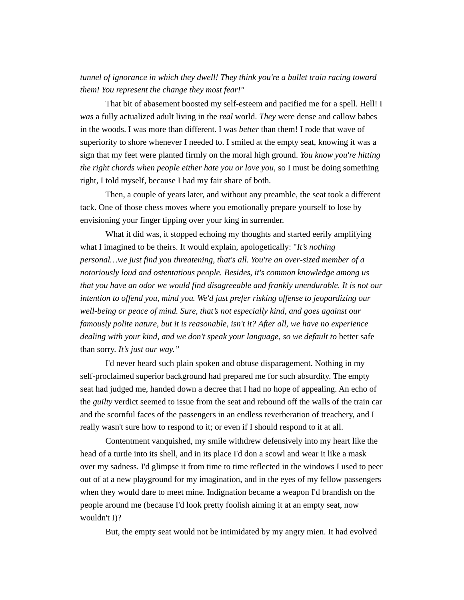## *tunnel of ignorance in which they dwell! They think you're a bullet train racing toward them! You represent the change they most fear!"*

That bit of abasement boosted my self-esteem and pacified me for a spell. Hell! I *was* a fully actualized adult living in the *real* world. *They* were dense and callow babes in the woods. I was more than different. I was *better* than them! I rode that wave of superiority to shore whenever I needed to. I smiled at the empty seat, knowing it was a sign that my feet were planted firmly on the moral high ground. *You know you're hitting the right chords when people either hate you or love you,* so I must be doing something right, I told myself, because I had my fair share of both.

Then, a couple of years later, and without any preamble, the seat took a different tack. One of those chess moves where you emotionally prepare yourself to lose by envisioning your finger tipping over your king in surrender.

What it did was, it stopped echoing my thoughts and started eerily amplifying what I imagined to be theirs. It would explain, apologetically: "*It's nothing personal…we just find you threatening, that's all. You're an over-sized member of a notoriously loud and ostentatious people. Besides, it's common knowledge among us that you have an odor we would find disagreeable and frankly unendurable. It is not our intention to offend you, mind you. We'd just prefer risking offense to jeopardizing our well-being or peace of mind. Sure, that's not especially kind, and goes against our famously polite nature, but it is reasonable, isn't it? After all, we have no experience dealing with your kind, and we don't speak your language, so we default to* better safe than sorry. *It's just our way."*

I'd never heard such plain spoken and obtuse disparagement. Nothing in my self-proclaimed superior background had prepared me for such absurdity. The empty seat had judged me, handed down a decree that I had no hope of appealing. An echo of the *guilty* verdict seemed to issue from the seat and rebound off the walls of the train car and the scornful faces of the passengers in an endless reverberation of treachery, and I really wasn't sure how to respond to it; or even if I should respond to it at all.

Contentment vanquished, my smile withdrew defensively into my heart like the head of a turtle into its shell, and in its place I'd don a scowl and wear it like a mask over my sadness. I'd glimpse it from time to time reflected in the windows I used to peer out of at a new playground for my imagination, and in the eyes of my fellow passengers when they would dare to meet mine. Indignation became a weapon I'd brandish on the people around me (because I'd look pretty foolish aiming it at an empty seat, now wouldn't I)?

But, the empty seat would not be intimidated by my angry mien. It had evolved